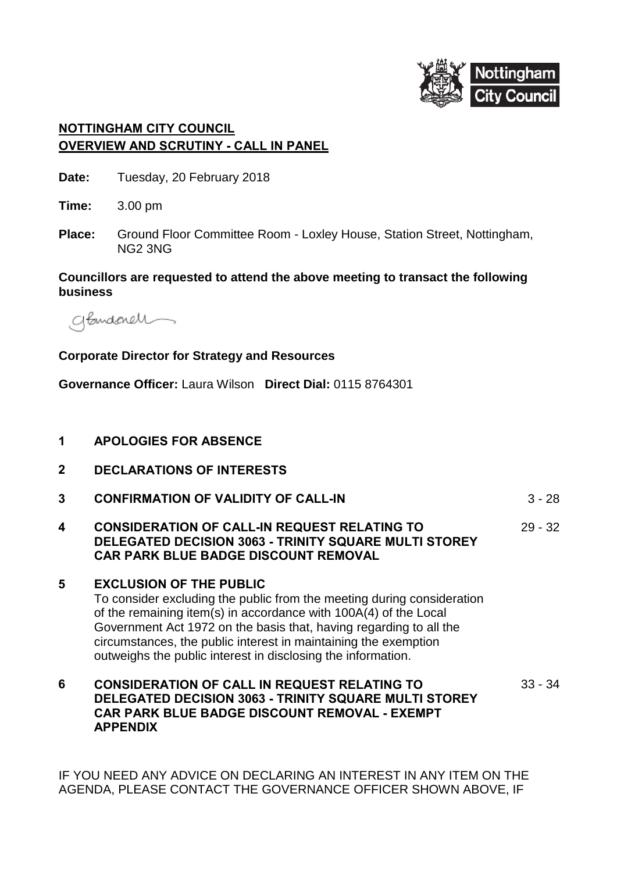

## **NOTTINGHAM CITY COUNCIL OVERVIEW AND SCRUTINY - CALL IN PANEL**

| Date: | Tuesday, 20 February 2018 |
|-------|---------------------------|
|-------|---------------------------|

**Time:** 3.00 pm

**Place:** Ground Floor Committee Room - Loxley House, Station Street, Nottingham, NG2 3NG

## **Councillors are requested to attend the above meeting to transact the following business**

abindenel

## **Corporate Director for Strategy and Resources**

**Governance Officer:** Laura Wilson **Direct Dial:** 0115 8764301

- **1 APOLOGIES FOR ABSENCE**
- **2 DECLARATIONS OF INTERESTS**
- **3 CONFIRMATION OF VALIDITY OF CALL-IN** 3 28
- **4 CONSIDERATION OF CALL-IN REQUEST RELATING TO DELEGATED DECISION 3063 - TRINITY SQUARE MULTI STOREY CAR PARK BLUE BADGE DISCOUNT REMOVAL** 29 - 32
- **5 EXCLUSION OF THE PUBLIC**

To consider excluding the public from the meeting during consideration of the remaining item(s) in accordance with 100A(4) of the Local Government Act 1972 on the basis that, having regarding to all the circumstances, the public interest in maintaining the exemption outweighs the public interest in disclosing the information.

## **6 CONSIDERATION OF CALL IN REQUEST RELATING TO DELEGATED DECISION 3063 - TRINITY SQUARE MULTI STOREY CAR PARK BLUE BADGE DISCOUNT REMOVAL - EXEMPT APPENDIX** 33 - 34

IF YOU NEED ANY ADVICE ON DECLARING AN INTEREST IN ANY ITEM ON THE AGENDA, PLEASE CONTACT THE GOVERNANCE OFFICER SHOWN ABOVE, IF